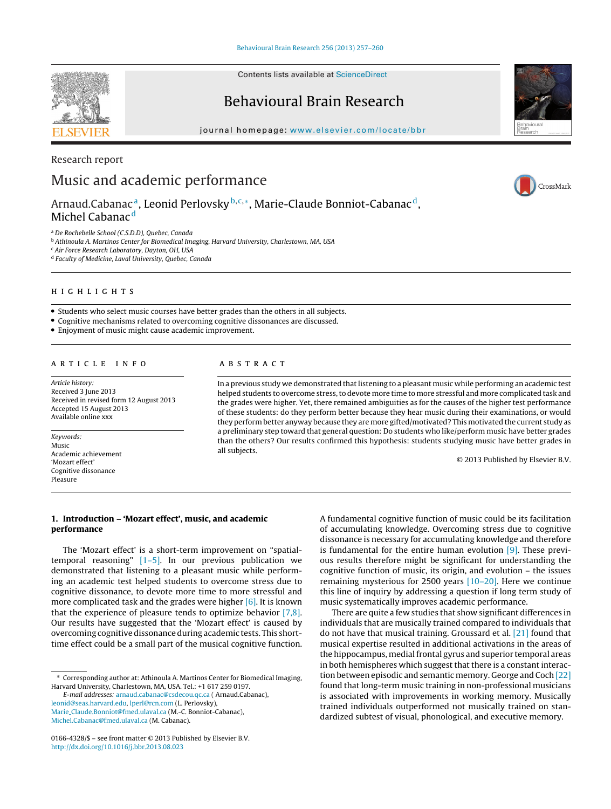Contents lists available at [ScienceDirect](http://www.sciencedirect.com/science/journal/01664328)

# Behavioural Brain Research

journal homepage: [www.elsevier.com/locate/bbr](http://www.elsevier.com/locate/bbr)

# Research report Music and academic performance

Arnaud.Cabanac<sup>a</sup>, Leonid Perlovsky<sup>b, c,∗</sup>, Marie-Claude Bonniot-Cabanac<sup>d</sup>, Michel Cabanac<sup>d</sup>

<sup>a</sup> De Rochebelle School (C.S.D.D), Quebec, Canada

<sup>b</sup> Athinoula A. Martinos Center for Biomedical Imaging, Harvard University, Charlestown, MA, USA <sup>c</sup> Air Force Research Laboratory, Dayton, OH, USA

<sup>d</sup> Faculty of Medicine, Laval University, Quebec, Canada

- Students who select music courses have better grades than the others in all subjects.
- Cognitive mechanisms related to overcoming cognitive dissonances are discussed.
- Enjoyment of music might cause academic improvement.

### ARTICLE INFO

Article history: Received 3 June 2013 Received in revised form 12 August 2013 Accepted 15 August 2013 Available online xxx

Keywords: Music Academic achievement 'Mozart effect' Cognitive dissonance Pleasure

### A B S T R A C T

In a previous study we demonstrated that listening to a pleasant music while performing an academic test helped students to overcome stress, to devote more time to more stressful and more complicated task and the grades were higher. Yet, there remained ambiguities as for the causes of the higher test performance of these students: do they perform better because they hear music during their examinations, or would they perform better anyway because they are more gifted/motivated? This motivated the current study as a preliminary step toward that general question: Do students who like/perform music have better grades than the others? Our results confirmed this hypothesis: students studying music have better grades in all subjects.

© 2013 Published by Elsevier B.V.

# **1. Introduction – 'Mozart effect', music, and academic performance**

The 'Mozart effect' is a short-term improvement on "spatialtemporal reasoning" [\[1–5\].](#page-2-0) In our previous publication we demonstrated that listening to a pleasant music while performing an academic test helped students to overcome stress due to cognitive dissonance, to devote more time to more stressful and more complicated task and the grades were higher [\[6\].](#page-3-0) It is known that the experience of pleasure tends to optimize behavior [\[7,8\].](#page-3-0) Our results have suggested that the 'Mozart effect' is caused by overcoming cognitivedissonanceduring academic tests. This shorttime effect could be a small part of the musical cognitive function.

∗ Corresponding author at: Athinoula A. Martinos Center for Biomedical Imaging, Harvard University, Charlestown, MA, USA. Tel.: +1 617 259 0197.

E-mail addresses: [arnaud.cabanac@csdecou.qc.ca](mailto:arnaud.cabanac@csdecou.qc.ca) ( Arnaud.Cabanac), [leonid@seas.harvard.edu](mailto:leonid@seas.harvard.edu), [lperl@rcn.com](mailto:lperl@rcn.com) (L. Perlovsky), Marie [Claude.Bonniot@fmed.ulaval.ca](mailto:Marie_Claude.Bonniot@fmed.ulaval.ca) (M.-C. Bonniot-Cabanac), [Michel.Cabanac@fmed.ulaval.ca](mailto:Michel.Cabanac@fmed.ulaval.ca) (M. Cabanac).

A fundamental cognitive function of music could be its facilitation of accumulating knowledge. Overcoming stress due to cognitive dissonance is necessary for accumulating knowledge and therefore is fundamental for the entire human evolution  $[9]$ . These previous results therefore might be significant for understanding the cognitive function of music, its origin, and evolution – the issues remaining mysterious for 2500 years [\[10–20\].](#page-3-0) Here we continue this line of inquiry by addressing a question if long term study of music systematically improves academic performance.

There are quite a few studies that show significant differences in individuals that are musically trained compared to individuals that do not have that musical training. Groussard et al. [\[21\]](#page-3-0) found that musical expertise resulted in additional activations in the areas of the hippocampus, medial frontal gyrus and superior temporal areas in both hemispheres which suggest that there is a constant interaction between episodic and semantic memory. George and Coch [\[22\]](#page-3-0) found that long-term music training in non-professional musicians is associated with improvements in working memory. Musically trained individuals outperformed not musically trained on standardized subtest of visual, phonological, and executive memory.







<sup>0166-4328/\$</sup> – see front matter © 2013 Published by Elsevier B.V. [http://dx.doi.org/10.1016/j.bbr.2013.08.023](dx.doi.org/10.1016/j.bbr.2013.08.023)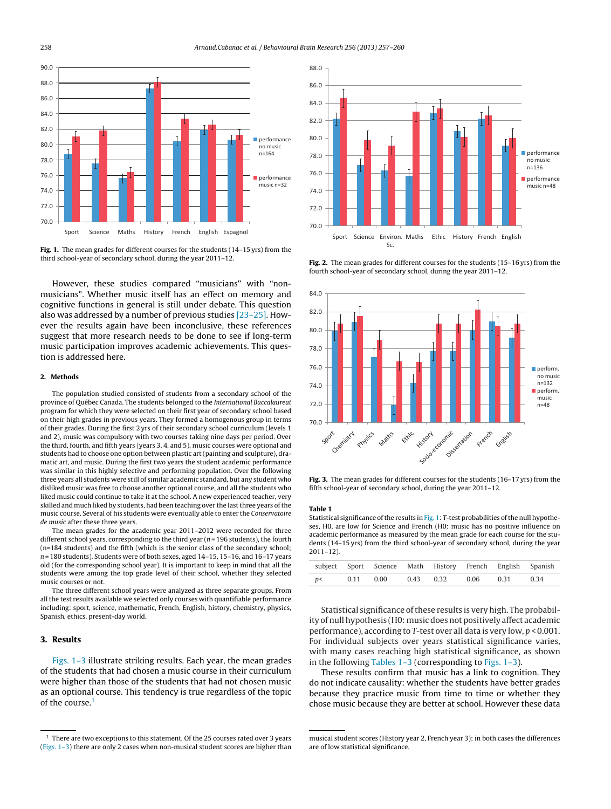

**Fig. 1.** The mean grades for different courses for the students (14–15 yrs) from the third school-year of secondary school, during the year 2011–12.

However, these studies compared "musicians" with "nonmusicians". Whether music itself has an effect on memory and cognitive functions in general is still under debate. This question also was addressed by a number of previous studies [\[23–25\].](#page-3-0) However the results again have been inconclusive, these references suggest that more research needs to be done to see if long-term music participation improves academic achievements. This question is addressed here.

#### **2. Methods**

The population studied consisted of students from a secondary school of the province of Québec Canada. The students belonged to the International Baccalaureat program for which they were selected on their first year of secondary school based on their high grades in previous years. They formed a homogenous group in terms of their grades. During the first 2 yrs of their secondary school curriculum (levels 1 and 2), music was compulsory with two courses taking nine days per period. Over the third, fourth, and fifth years (years 3, 4, and 5), music courses were optional and students had to choose one option between plastic art (painting and sculpture), dramatic art, and music. During the first two years the student academic performance was similar in this highly selective and performing population. Over the following three years all students were still of similar academic standard, but any student who disliked music was free to choose another optional course, and all the students who liked music could continue to take it at the school. A new experienced teacher, very skilled and much liked by students, had been teaching over the last three years of the music course. Several of his students were eventually able to enter the Conservatoire de music after these three years.

The mean grades for the academic year 2011–2012 were recorded for three different school years, corresponding to the third year ( $n = 196$  students), the fourth (n=184 students) and the fifth (which is the senior class of the secondary school; n = 180 students). Students were of both sexes, aged 14–15, 15–16, and 16–17 years old (for the corresponding school year). It is important to keep in mind that all the students were among the top grade level of their school, whether they selected music courses or not.

The three different school years were analyzed as three separate groups. From all the test results available we selected only courses with quantifiable performance including: sport, science, mathematic, French, English, history, chemistry, physics, Spanish, ethics, present-day world.

## **3. Results**

Figs. 1–3 illustrate striking results. Each year, the mean grades of the students that had chosen a music course in their curriculum were higher than those of the students that had not chosen music as an optional course. This tendency is true regardless of the topic of the course.<sup>1</sup>



**Fig. 2.** The mean grades for different courses for the students (15–16 yrs) from the fourth school-year of secondary school, during the year 2011–12.



**Fig. 3.** The mean grades for different courses for the students (16–17 yrs) from the fifth school-year of secondary school, during the year 2011–12.

#### **Table 1**

Statistical significance of the results in Fig. 1: T-test probabilities of the null hypotheses, H0, are low for Science and French (H0: music has no positive influence on academic performance as measured by the mean grade for each course for the students (14–15 yrs) from the third school-year of secondary school, during the year 2011–12).

|   |      | subject Sport Science Math History French English Spanish |           |      |      |      |
|---|------|-----------------------------------------------------------|-----------|------|------|------|
| p | 0.11 | 0.00                                                      | 0.43 0.32 | 0.06 | 0.31 | በ 34 |

Statistical significance of these results is very high. The probability of null hypothesis (H0: music does not positively affect academic performance), according to T-test over all data is very low, p < 0.001. For individual subjects over years statistical significance varies, with many cases reaching high statistical significance, as shown in the following Tables  $1-3$  (corresponding to Figs.  $1-3$ ).

These results confirm that music has a link to cognition. They do not indicate causality: whether the students have better grades because they practice music from time to time or whether they chose music because they are better at school. However these data

<span id="page-1-0"></span>

 $^1\,$  There are two exceptions to this statement. Of the 25 courses rated over 3 years (Figs. 1–3) there are only 2 cases when non-musical student scores are higher than

musical student scores (History year 2, French year 3); in both cases the differences are of low statistical significance.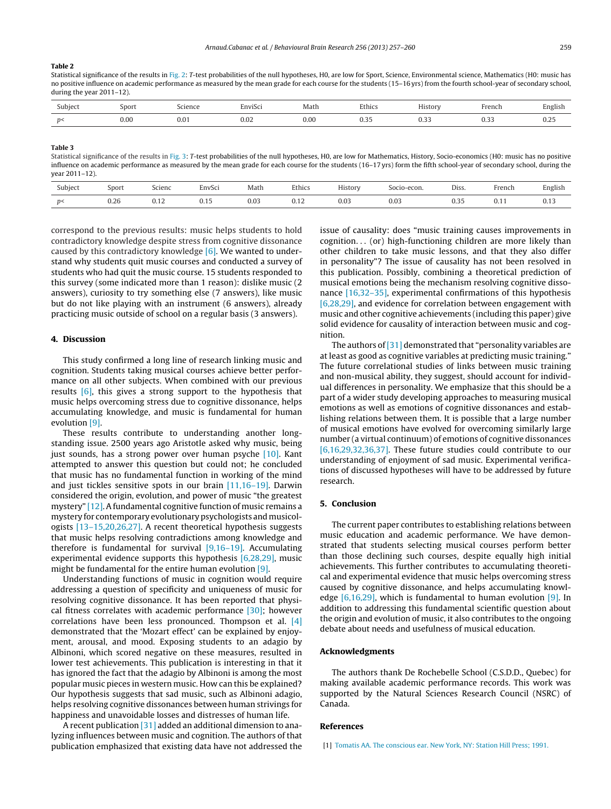#### <span id="page-2-0"></span>**Table 2**

Statistical significance of the results in [Fig.](#page-1-0) 2: T-test probabilities of the null hypotheses, H0, are low for Sport, Science, Environmental science, Mathematics (H0: music has no positive influence on academic performance as measured by the mean grade for each course for the students (15–16 yrs) from the fourth school-year of secondary school, during the year 2011–12).

| Subject | Sport     | cience                    | $\sim$<br>inviSc | Matl.     | Ethics             | .<br>distory                | French                      | $\cdots$<br>English |
|---------|-----------|---------------------------|------------------|-----------|--------------------|-----------------------------|-----------------------------|---------------------|
| n<      | 0.00<br>. | $\sim$ $\sim$<br>U.U<br>. | $_{0.02}$<br>.   | 0.00<br>. | $\sim$<br>◡.◡<br>. | . .<br>$\cup$ . $\cup$<br>. | $\sim$ $\sim$ $\sim$<br>◡.◡ | $\sim$<br>∪.∠.<br>. |

**Table 3**

Statistical significance of the results in [Fig.](#page-1-0) 3: T-test probabilities of the null hypotheses, H0, are low for Mathematics, History, Socio-economics (H0: music has no positive influence on academic performance as measured by the mean grade for each course for the students (16–17 yrs) form the fifth school-year of secondary school, during the year 2011–12).

| Subject | Sport | Scienc | EnvSci | Math | Ethics | History | Socio-econ. | Diss. | French      | English |
|---------|-------|--------|--------|------|--------|---------|-------------|-------|-------------|---------|
| n<      | 0.26  | v. i 2 | 0.15   | 0.03 | 0. I Z | 0.03    | 0.03        | 0.35  | <b>U.II</b> | ∪.⊥.    |

correspond to the previous results: music helps students to hold contradictory knowledge despite stress from cognitive dissonance caused by this contradictory knowledge  $[6]$ . We wanted to understand why students quit music courses and conducted a survey of students who had quit the music course. 15 students responded to this survey (some indicated more than 1 reason): dislike music (2 answers), curiosity to try something else (7 answers), like music but do not like playing with an instrument (6 answers), already practicing music outside of school on a regular basis (3 answers).

# **4. Discussion**

This study confirmed a long line of research linking music and cognition. Students taking musical courses achieve better performance on all other subjects. When combined with our previous results [\[6\],](#page-3-0) this gives a strong support to the hypothesis that music helps overcoming stress due to cognitive dissonance, helps accumulating knowledge, and music is fundamental for human evolution [\[9\].](#page-3-0)

These results contribute to understanding another longstanding issue. 2500 years ago Aristotle asked why music, being just sounds, has a strong power over human psyche [\[10\].](#page-3-0) Kant attempted to answer this question but could not; he concluded that music has no fundamental function in working of the mind and just tickles sensitive spots in our brain [\[11,16–19\].](#page-3-0) Darwin considered the origin, evolution, and power of music "the greatest mystery" [12]. A fundamental cognitive function of music remains a mystery for contemporary evolutionary psychologists andmusicologists [\[13–15,20,26,27\].](#page-3-0) A recent theoretical hypothesis suggests that music helps resolving contradictions among knowledge and therefore is fundamental for survival [\[9,16–19\].](#page-3-0) Accumulating experimental evidence supports this hypothesis [\[6,28,29\],](#page-3-0) music might be fundamental for the entire human evolution [\[9\].](#page-3-0)

Understanding functions of music in cognition would require addressing a question of specificity and uniqueness of music for resolving cognitive dissonance. It has been reported that physical fitness correlates with academic performance  $[30]$ ; however correlations have been less pronounced. Thompson et al. [\[4\]](#page-3-0) demonstrated that the 'Mozart effect' can be explained by enjoyment, arousal, and mood. Exposing students to an adagio by Albinoni, which scored negative on these measures, resulted in lower test achievements. This publication is interesting in that it has ignored the fact that the adagio by Albinoni is among the most popular music pieces in western music. How can this be explained? Our hypothesis suggests that sad music, such as Albinoni adagio, helps resolving cognitive dissonances between human strivings for happiness and unavoidable losses and distresses of human life.

A recent publication [\[31\]](#page-3-0) added an additional dimension to analyzing influences between music and cognition. The authors of that publication emphasized that existing data have not addressed the issue of causality: does "music training causes improvements in  $cognition...$  (or) high-functioning children are more likely than other children to take music lessons, and that they also differ in personality"? The issue of causality has not been resolved in this publication. Possibly, combining a theoretical prediction of musical emotions being the mechanism resolving cognitive dissonance [\[16,32–35\],](#page-3-0) experimental confirmations of this hypothesis [\[6,28,29\],](#page-3-0) and evidence for correlation between engagement with music and other cognitive achievements (including this paper) give solid evidence for causality of interaction between music and cognition.

The authors of  $[31]$  demonstrated that "personality variables are at least as good as cognitive variables at predicting music training." The future correlational studies of links between music training and non-musical ability, they suggest, should account for individual differences in personality. We emphasize that this should be a part of a wider study developing approaches to measuring musical emotions as well as emotions of cognitive dissonances and establishing relations between them. It is possible that a large number of musical emotions have evolved for overcoming similarly large number (a virtual continuum) of emotions of cognitive dissonances [\[6,16,29,32,36,37\].](#page-3-0) These future studies could contribute to our understanding of enjoyment of sad music. Experimental verifications of discussed hypotheses will have to be addressed by future research.

## **5. Conclusion**

The current paper contributes to establishing relations between music education and academic performance. We have demonstrated that students selecting musical courses perform better than those declining such courses, despite equally high initial achievements. This further contributes to accumulating theoretical and experimental evidence that music helps overcoming stress caused by cognitive dissonance, and helps accumulating knowledge  $[6,16,29]$ , which is fundamental to human evolution  $[9]$ . In addition to addressing this fundamental scientific question about the origin and evolution of music, it also contributes to the ongoing debate about needs and usefulness of musical education.

#### **Acknowledgments**

The authors thank De Rochebelle School (C.S.D.D., Quebec) for making available academic performance records. This work was supported by the Natural Sciences Research Council (NSRC) of Canada.

### **References**

<sup>[1]</sup> [Tomatis](http://refhub.elsevier.com/S0166-4328(13)00509-3/sbref0005) [AA.](http://refhub.elsevier.com/S0166-4328(13)00509-3/sbref0005) [The](http://refhub.elsevier.com/S0166-4328(13)00509-3/sbref0005) [conscious](http://refhub.elsevier.com/S0166-4328(13)00509-3/sbref0005) [ear.](http://refhub.elsevier.com/S0166-4328(13)00509-3/sbref0005) [New](http://refhub.elsevier.com/S0166-4328(13)00509-3/sbref0005) [York,](http://refhub.elsevier.com/S0166-4328(13)00509-3/sbref0005) [NY:](http://refhub.elsevier.com/S0166-4328(13)00509-3/sbref0005) [Station](http://refhub.elsevier.com/S0166-4328(13)00509-3/sbref0005) [Hill](http://refhub.elsevier.com/S0166-4328(13)00509-3/sbref0005) [Press;](http://refhub.elsevier.com/S0166-4328(13)00509-3/sbref0005) [1991.](http://refhub.elsevier.com/S0166-4328(13)00509-3/sbref0005)